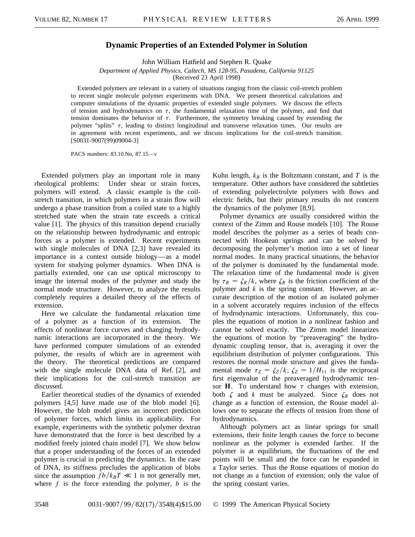## **Dynamic Properties of an Extended Polymer in Solution**

John William Hatfield and Stephen R. Quake

*Department of Applied Physics, Caltech, MS 128-95, Pasadena, California 91125*

(Received 23 April 1998)

Extended polymers are relevant in a variety of situations ranging from the classic coil-stretch problem to recent single molecule polymer experiments with DNA. We present theoretical calculations and computer simulations of the dynamic properties of extended single polymers. We discuss the effects of tension and hydrodynamics on  $\tau$ , the fundamental relaxation time of the polymer, and find that tension dominates the behavior of  $\tau$ . Furthermore, the symmetry breaking caused by extending the polymer "splits"  $\tau$ , leading to distinct longitudinal and transverse relaxation times. Our results are in agreement with recent experiments, and we discuss implications for the coil-stretch transition. [S0031-9007(99)09004-3]

PACS numbers: 83.10.Nn, 87.15. – v

Extended polymers play an important role in many rheological problems: Under shear or strain forces, polymers will extend. A classic example is the coilstretch transition, in which polymers in a strain flow will undergo a phase transition from a coiled state to a highly stretched state when the strain rate exceeds a critical value [1]. The physics of this transition depend crucially on the relationship between hydrodynamic and entropic forces as a polymer is extended. Recent experiments with single molecules of DNA [2,3] have revealed its importance in a context outside biology—as a model system for studying polymer dynamics. When DNA is partially extended, one can use optical microscopy to image the internal modes of the polymer and study the normal mode structure. However, to analyze the results completely requires a detailed theory of the effects of extension.

Here we calculate the fundamental relaxation time of a polymer as a function of its extension. The effects of nonlinear force curves and changing hydrodynamic interactions are incorporated in the theory. We have performed computer simulations of an extended polymer, the results of which are in agreement with the theory. The theoretical predictions are compared with the single molecule DNA data of Ref. [2], and their implications for the coil-stretch transition are discussed.

Earlier theoretical studies of the dynamics of extended polymers [4,5] have made use of the blob model [6]. However, the blob model gives an incorrect prediction of polymer forces, which limits its applicability. For example, experiments with the synthetic polymer dextran have demonstrated that the force is best described by a modified freely jointed chain model [7]. We show below that a proper understanding of the forces of an extended polymer is crucial in predicting the dynamics. In the case of DNA, its stiffness precludes the application of blobs since the assumption  $fb/k_BT \ll 1$  is not generally met, where *f* is the force extending the polymer, *b* is the

Kuhn length,  $k_B$  is the Boltzmann constant, and  $T$  is the temperature. Other authors have considered the subtleties of extending polyelectrolyte polymers with flows and electric fields, but their primary results do not concern the dynamics of the polymer [8,9].

Polymer dynamics are usually considered within the context of the Zimm and Rouse models [10]. The Rouse model describes the polymer as a series of beads connected with Hookean springs and can be solved by decomposing the polymer's motion into a set of linear normal modes. In many practical situations, the behavior of the polymer is dominated by the fundamental mode. The relaxation time of the fundamental mode is given by  $\tau_R = \zeta_R/k$ , where  $\zeta_R$  is the friction coefficient of the polymer and *k* is the spring constant. However, an accurate description of the motion of an isolated polymer in a solvent accurately requires inclusion of the effects of hydrodynamic interactions. Unfortunately, this couples the equations of motion in a nonlinear fashion and cannot be solved exactly. The Zimm model linearizes the equations of motion by "preaveraging" the hydrodynamic coupling tensor, that is, averaging it over the equilibrium distribution of polymer configurations. This restores the normal mode structure and gives the fundamental mode  $\tau_Z = \zeta_Z/k$ ;  $\zeta_Z = 1/H_{11}$  is the reciprocal first eigenvalue of the preaveraged hydrodynamic tensor **H**. To understand how  $\tau$  changes with extension, both  $\zeta$  and  $k$  must be analyzed. Since  $\zeta_R$  does not change as a function of extension, the Rouse model allows one to separate the effects of tension from those of hydrodynamics.

Although polymers act as linear springs for small extensions, their finite length causes the force to become nonlinear as the polymer is extended farther. If the polymer is at equilibrium, the fluctuations of the end points will be small and the force can be expanded in a Taylor series. Thus the Rouse equations of motion do not change as a function of extension; only the value of the spring constant varies.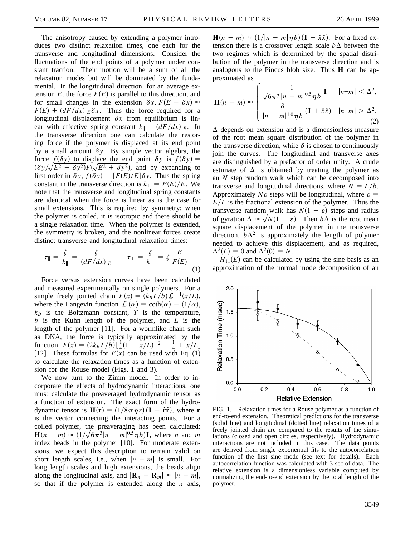The anisotropy caused by extending a polymer introduces two distinct relaxation times, one each for the transverse and longitudinal dimensions. Consider the fluctuations of the end points of a polymer under constant traction. Their motion will be a sum of all the relaxation modes but will be dominated by the fundamental. In the longitudinal direction, for an average extension  $E$ , the force  $F(E)$  is parallel to this direction, and for small changes in the extension  $\delta x$ ,  $F(E + \delta x) \approx$  $F(E) + (dF/dx)|_E \delta x$ . Thus the force required for a longitudinal displacement  $\delta x$  from equilibrium is linear with effective spring constant  $k_{\parallel} = (dF/dx)|_E$ . In the transverse direction one can calculate the restoring force if the polymer is displaced at its end point by a small amount  $\delta y$ . By simple vector algebra, the force  $f(\delta y)$  to displace the end point  $\delta y$  is  $f(\delta y) =$  $(\delta y/\sqrt{E^2 + \delta y^2})F(\sqrt{E^2 + \delta y^2})$ , and by expanding to first order in  $\delta y$ ,  $f(\delta y) = [F(E)/E]\delta y$ . Thus the spring constant in the transverse direction is  $k_{\perp} = F(E)/E$ . We note that the transverse and longitudinal spring constants are identical when the force is linear as is the case for small extensions. This is required by symmetry: when the polymer is coiled, it is isotropic and there should be a single relaxation time. When the polymer is extended, the symmetry is broken, and the nonlinear forces create distinct transverse and longitudinal relaxation times:

$$
\tau_{\parallel} = \frac{\zeta}{k_{\parallel}} = \frac{\zeta}{(dF/dx)|_E} \qquad \tau_{\perp} = \frac{\zeta}{k_{\perp}} = \zeta \frac{E}{F(E)}.
$$
\n(1)

Force versus extension curves have been calculated and measured experimentally on single polymers. For a simple freely jointed chain  $F(x) = (k_B T/b) \mathcal{L}^{-1}(x/L)$ , where the Langevin function  $\mathcal{L}(\alpha) = \coth(\alpha) - (1/\alpha)$ ,  $k_B$  is the Boltzmann constant, *T* is the temperature, *b* is the Kuhn length of the polymer, and *L* is the length of the polymer [11]. For a wormlike chain such as DNA, the force is typically approximated by the function  $F(x) = (2k_BT/b)\left[\frac{1}{4}(1 - x/L)^{-2} - \frac{1}{4} + x/L\right]$ [12]. These formulas for  $F(x)$  can be used with Eq. (1) to calculate the relaxation times as a function of extension for the Rouse model (Figs. 1 and 3).

We now turn to the Zimm model. In order to incorporate the effects of hydrodynamic interactions, one must calculate the preaveraged hydrodynamic tensor as a function of extension. The exact form of the hydrodynamic tensor is  $H(r) = (1/8\pi \eta r)(I + \hat{r}\hat{r})$ , where **r** is the vector connecting the interacting points. For a coiled polymer, the preaveraging has been calculated: **H** $(n - m) \approx (1/\sqrt{6\pi^3} |n - m|^{0.5} \eta b)$ **I**, where *n* and *m* index beads in the polymer [10]. For moderate extensions, we expect this description to remain valid on short length scales, i.e., when  $|n - m|$  is small. For long length scales and high extensions, the beads align along the longitudinal axis, and  $|\mathbf{R}_n - \mathbf{R}_m| \approx |n - m|$ , so that if the polymer is extended along the *x* axis,  $\mathbf{H}(n - m) \approx (1/|n - m|\eta b)(\mathbf{I} + \hat{x}\hat{x})$ . For a fixed extension there is a crossover length scale  $b\Delta$  between the two regimes which is determined by the spatial distribution of the polymer in the transverse direction and is analogous to the Pincus blob size. Thus **H** can be approximated as

$$
\mathbf{H}(n-m) \approx \begin{cases} \frac{1}{\sqrt{6\pi^3} |n-m|^{0.5} \eta b} \mathbf{I} & |n-m| < \Delta^2, \\ \frac{\delta}{|n-m|^{1.0} \eta b} \left( \mathbf{I} + \hat{x} \hat{x} \right) & |n-m| > \Delta^2. \end{cases}
$$
(2)

 $\Delta$  depends on extension and is a dimensionless measure of the root mean square distribution of the polymer in the transverse direction, while  $\delta$  is chosen to continuously join the curves. The longitudinal and transverse axes are distinguished by a prefactor of order unity. A crude estimate of  $\Delta$  is obtained by treating the polymer as an *N* step random walk which can be decomposed into transverse and longitudinal directions, where  $N = L/b$ . Approximately  $N\epsilon$  steps will be longitudinal, where  $\epsilon$  $E/L$  is the fractional extension of the polymer. Thus the transverse random walk has  $N(1 - \varepsilon)$  steps and radius of gyration  $\Delta \approx \sqrt{N(1 - \varepsilon)}$ . Then  $b\Delta$  is the root mean square displacement of the polymer in the transverse direction,  $b\Delta^2$  is approximately the length of polymer needed to achieve this displacement, and as required,  $\Delta^2(L) = 0$  and  $\Delta^2(0) = N$ .

 $H_{11}(E)$  can be calculated by using the sine basis as an approximation of the normal mode decomposition of an



FIG. 1. Relaxation times for a Rouse polymer as a function of end-to-end extension. Theoretical predictions for the transverse (solid line) and longitudinal (dotted line) relaxation times of a freely jointed chain are compared to the results of the simulations (closed and open circles, respectively). Hydrodynamic interactions are not included in this case. The data points are derived from single exponential fits to the autocorrelation function of the first sine mode (see text for details). Each autocorrelation function was calculated with 3 sec of data. The relative extension is a dimensionless variable computed by normalizing the end-to-end extension by the total length of the polymer.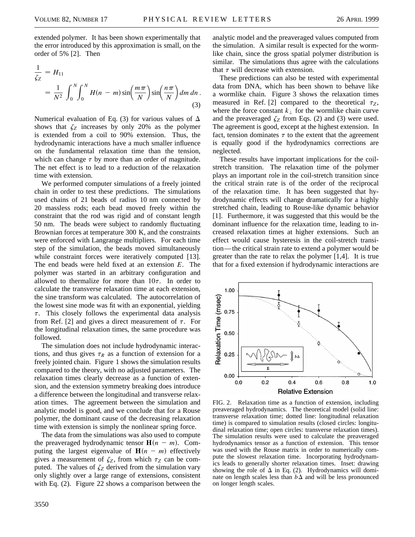extended polymer. It has been shown experimentally that the error introduced by this approximation is small, on the order of 5% [2]. Then

$$
\frac{1}{\zeta_Z} = H_{11}
$$
  
= 
$$
\frac{1}{N^2} \int_0^N \int_0^N H(n - m) \sin\left(\frac{m\pi}{N}\right) \sin\left(\frac{n\pi}{N}\right) dm \, dn.
$$
 (3)

Numerical evaluation of Eq. (3) for various values of  $\Delta$ shows that  $\zeta_Z$  increases by only 20% as the polymer is extended from a coil to 90% extension. Thus, the hydrodynamic interactions have a much smaller influence on the fundamental relaxation time than the tension, which can change  $\tau$  by more than an order of magnitude. The net effect is to lead to a reduction of the relaxation time with extension.

We performed computer simulations of a freely jointed chain in order to test these predictions. The simulations used chains of 21 beads of radius 10 nm connected by 20 massless rods; each bead moved freely within the constraint that the rod was rigid and of constant length 50 nm. The beads were subject to randomly fluctuating Brownian forces at temperature 300 K, and the constraints were enforced with Langrange multipliers. For each time step of the simulation, the beads moved simultaneously while constraint forces were iteratively computed [13]. The end beads were held fixed at an extension *E*. The polymer was started in an arbitrary configuration and allowed to thermalize for more than  $10\tau$ . In order to calculate the transverse relaxation time at each extension, the sine transform was calculated. The autocorrelation of the lowest sine mode was fit with an exponential, yielding  $\tau$ . This closely follows the experimental data analysis from Ref. [2] and gives a direct measurement of  $\tau$ . For the longitudinal relaxation times, the same procedure was followed.

The simulation does not include hydrodynamic interactions, and thus gives  $\tau_R$  as a function of extension for a freely jointed chain. Figure 1 shows the simulation results compared to the theory, with no adjusted parameters. The relaxation times clearly decrease as a function of extension, and the extension symmetry breaking does introduce a difference between the longitudinal and transverse relaxation times. The agreement between the simulation and analytic model is good, and we conclude that for a Rouse polymer, the dominant cause of the decreasing relaxation time with extension is simply the nonlinear spring force.

The data from the simulations was also used to compute the preaveraged hydrodynamic tensor  $H(n - m)$ . Computing the largest eigenvalue of  $H(n - m)$  effectively gives a measurement of  $\zeta_Z$ , from which  $\tau_Z$  can be computed. The values of  $\zeta_Z$  derived from the simulation vary only slightly over a large range of extensions, consistent with Eq. (2). Figure 22 shows a comparison between the analytic model and the preaveraged values computed from the simulation. A similar result is expected for the wormlike chain, since the gross spatial polymer distribution is similar. The simulations thus agree with the calculations that  $\tau$  will decrease with extension.

These predictions can also be tested with experimental data from DNA, which has been shown to behave like a wormlike chain. Figure 3 shows the relaxation times measured in Ref. [2] compared to the theoretical  $\tau_Z$ , where the force constant  $k_{\perp}$  for the wormlike chain curve and the preaveraged  $\zeta_Z$  from Eqs. (2) and (3) were used. The agreement is good, except at the highest extension. In fact, tension dominates  $\tau$  to the extent that the agreement is equally good if the hydrodynamics corrections are neglected.

These results have important implications for the coilstretch transition. The relaxation time of the polymer plays an important role in the coil-stretch transition since the critical strain rate is of the order of the reciprocal of the relaxation time. It has been suggested that hydrodynamic effects will change dramatically for a highly stretched chain, leading to Rouse-like dynamic behavior [1]. Furthermore, it was suggested that this would be the dominant influence for the relaxation time, leading to increased relaxation times at higher extensions. Such an effect would cause hysteresis in the coil-stretch transition—the critical strain rate to extend a polymer would be greater than the rate to relax the polymer [1,4]. It is true that for a fixed extension if hydrodynamic interactions are



FIG. 2. Relaxation time as a function of extension, including preaveraged hydrodynamics. The theoretical model (solid line: transverse relaxation time; dotted line: longitudinal relaxation time) is compared to simulation results (closed circles: longitudinal relaxation time; open circles: transverse relaxation times). The simulation results were used to calculate the preaveraged hydrodynamics tensor as a function of extension. This tensor was used with the Rouse matrix in order to numerically compute the slowest relaxation time. Incorporating hydrodynamics leads to generally shorter relaxation times. Inset: drawing showing the role of  $\Delta$  in Eq. (2). Hydrodynamics will dominate on length scales less than  $b\Delta$  and will be less pronounced on longer length scales.